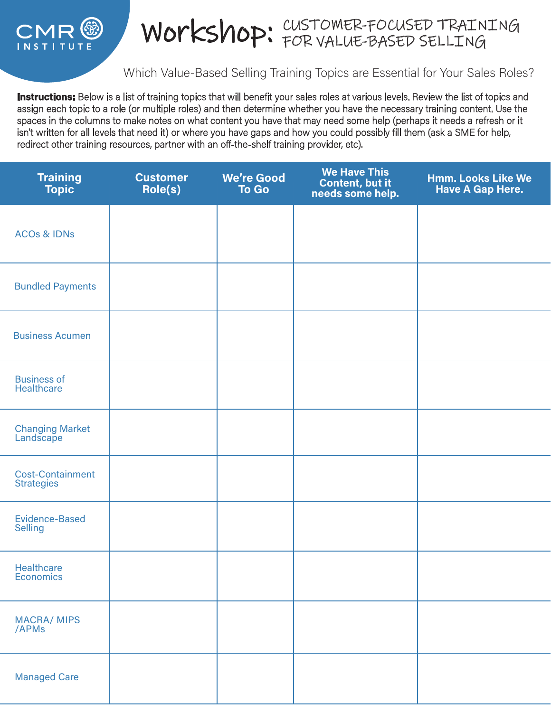

## WOrkshop: CUSTOMER-FOCUSED TRAINING

## Which Value-Based Selling Training Topics are Essential for Your Sales Roles?

Instructions: Below is a list of training topics that will benefit your sales roles at various levels. Review the list of topics and assign each topic to a role (or multiple roles) and then determine whether you have the necessary training content. Use the spaces in the columns to make notes on what content you have that may need some help (perhaps it needs a refresh or it isn't written for all levels that need it) or where you have gaps and how you could possibly fill them (ask a SME for help, redirect other training resources, partner with an off-the-shelf training provider, etc).

| <b>Training</b><br><b>Topic</b>              | <b>Customer</b><br>Role(s) | <b>We're Good</b><br><b>To Go</b> | <b>We Have This</b><br>Content, but it<br>needs some help. | <b>Hmm. Looks Like We</b><br><b>Have A Gap Here.</b> |
|----------------------------------------------|----------------------------|-----------------------------------|------------------------------------------------------------|------------------------------------------------------|
| <b>ACOs &amp; IDNs</b>                       |                            |                                   |                                                            |                                                      |
| <b>Bundled Payments</b>                      |                            |                                   |                                                            |                                                      |
| <b>Business Acumen</b>                       |                            |                                   |                                                            |                                                      |
| <b>Business of</b><br>Healthcare             |                            |                                   |                                                            |                                                      |
| <b>Changing Market</b><br>Landscape          |                            |                                   |                                                            |                                                      |
| <b>Cost-Containment</b><br><b>Strategies</b> |                            |                                   |                                                            |                                                      |
| <b>Evidence-Based</b><br><b>Selling</b>      |                            |                                   |                                                            |                                                      |
| Healthcare<br>Economics                      |                            |                                   |                                                            |                                                      |
| <b>MACRA/ MIPS</b><br>/APMs                  |                            |                                   |                                                            |                                                      |
| <b>Managed Care</b>                          |                            |                                   |                                                            |                                                      |